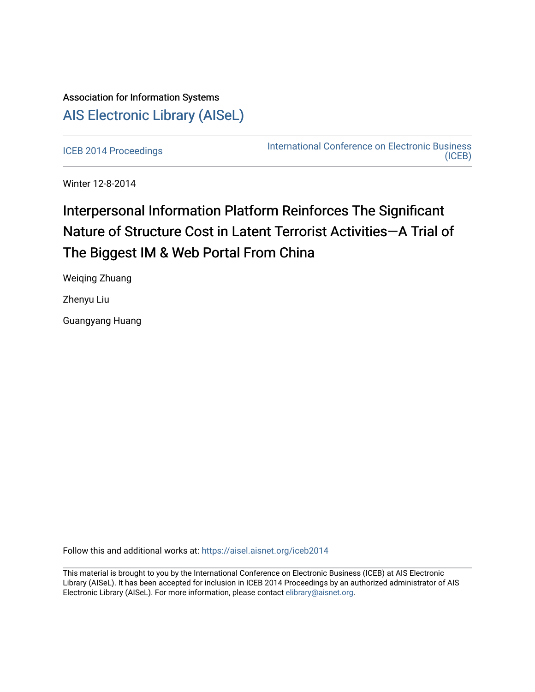# Association for Information Systems [AIS Electronic Library \(AISeL\)](https://aisel.aisnet.org/)

[ICEB 2014 Proceedings](https://aisel.aisnet.org/iceb2014) **International Conference on Electronic Business** [\(ICEB\)](https://aisel.aisnet.org/iceb) 

Winter 12-8-2014

# Interpersonal Information Platform Reinforces The Significant Nature of Structure Cost in Latent Terrorist Activities-A Trial of The Biggest IM & Web Portal From China

Weiqing Zhuang

Zhenyu Liu

Guangyang Huang

Follow this and additional works at: [https://aisel.aisnet.org/iceb2014](https://aisel.aisnet.org/iceb2014?utm_source=aisel.aisnet.org%2Ficeb2014%2F34&utm_medium=PDF&utm_campaign=PDFCoverPages)

This material is brought to you by the International Conference on Electronic Business (ICEB) at AIS Electronic Library (AISeL). It has been accepted for inclusion in ICEB 2014 Proceedings by an authorized administrator of AIS Electronic Library (AISeL). For more information, please contact [elibrary@aisnet.org.](mailto:elibrary@aisnet.org%3E)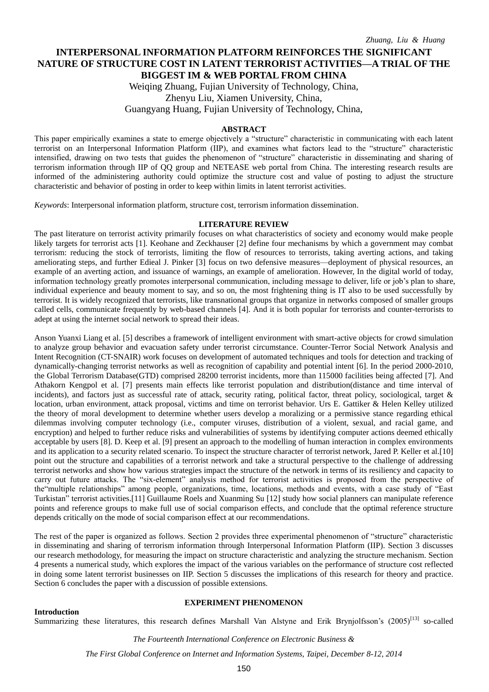## **INTERPERSONAL INFORMATION PLATFORM REINFORCES THE SIGNIFICANT NATURE OF STRUCTURE COST IN LATENT TERRORIST ACTIVITIES—A TRIAL OF THE BIGGEST IM & WEB PORTAL FROM CHINA**

Weiqing Zhuang, Fujian University of Technology, China, Zhenyu Liu, Xiamen University, China, Guangyang Huang, Fujian University of Technology, China,

#### **ABSTRACT**

This paper empirically examines a state to emerge objectively a "structure" characteristic in communicating with each latent terrorist on an Interpersonal Information Platform (IIP), and examines what factors lead to the "structure" characteristic intensified, drawing on two tests that guides the phenomenon of "structure" characteristic in disseminating and sharing of terrorism information through IIP of QQ group and NETEASE web portal from China. The interesting research results are informed of the administering authority could optimize the structure cost and value of posting to adjust the structure characteristic and behavior of posting in order to keep within limits in latent terrorist activities.

*Keywords*: Interpersonal information platform, structure cost, terrorism information dissemination.

#### **LITERATURE REVIEW**

The past literature on terrorist activity primarily focuses on what characteristics of society and economy would make people likely targets for terrorist acts [1]. Keohane and Zeckhauser [2] define four mechanisms by which a government may combat terrorism: reducing the stock of terrorists, limiting the flow of resources to terrorists, taking averting actions, and taking ameliorating steps, and further Edieal J. Pinker [3] focus on two defensive measures—deployment of physical resources, an example of an averting action, and issuance of warnings, an example of amelioration. However, In the digital world of today, information technology greatly promotes interpersonal communication, including message to deliver, life or job's plan to share, individual experience and beauty moment to say, and so on, the most frightening thing is IT also to be used successfully by terrorist. It is widely recognized that terrorists, like transnational groups that organize in networks composed of smaller groups called cells, communicate frequently by web-based channels [4]. And it is both popular for terrorists and counter-terrorists to adept at using the internet social network to spread their ideas.

Anson Yuanxi Liang et al. [5] describes a framework of intelligent environment with smart-active objects for crowd simulation to analyze group behavior and evacuation safety under terrorist circumstance. Counter-Terror Social Network Analysis and Intent Recognition (CT-SNAIR) work focuses on development of automated techniques and tools for detection and tracking of dynamically-changing terrorist networks as well as recognition of capability and potential intent [6]. In the period 2000-2010, the Global Terrorism Database(GTD) comprised 28200 terrorist incidents, more than 115000 facilities being affected [7]. And Athakorn Kengpol et al. [7] presents main effects like terrorist population and distribution(distance and time interval of incidents), and factors just as successful rate of attack, security rating, political factor, threat policy, sociological, target  $\&$ location, urban environment, attack proposal, victims and time on terrorist behavior. Urs E. Gattiker & Helen Kelley utilized the theory of moral development to determine whether users develop a moralizing or a permissive stance regarding ethical dilemmas involving computer technology (i.e., computer viruses, distribution of a violent, sexual, and racial game, and encryption) and helped to further reduce risks and vulnerabilities of systems by identifying computer actions deemed ethically acceptable by users [8]. D. Keep et al. [9] present an approach to the modelling of human interaction in complex environments and its application to a security related scenario. To inspect the structure character of terrorist network, Jared P. Keller et al.[10] point out the structure and capabilities of a terrorist network and take a structural perspective to the challenge of addressing terrorist networks and show how various strategies impact the structure of the network in terms of its resiliency and capacity to carry out future attacks. The "six-element" analysis method for terrorist activities is proposed from the perspective of the"multiple relationships" among people, organizations, time, locations, methods and events, with a case study of "East Turkistan" terrorist activities.[11] Guillaume Roels and Xuanming Su [12] study how social planners can manipulate reference points and reference groups to make full use of social comparison effects, and conclude that the optimal reference structure depends critically on the mode of social comparison effect at our recommendations.

The rest of the paper is organized as follows. Section 2 provides three experimental phenomenon of "structure" characteristic in disseminating and sharing of terrorism information through Interpersonal Information Platform (IIP). Section 3 discusses our research methodology, for measuring the impact on structure characteristic and analyzing the structure mechanism. Section 4 presents a numerical study, which explores the impact of the various variables on the performance of structure cost reflected in doing some latent terrorist businesses on IIP. Section 5 discusses the implications of this research for theory and practice. Section 6 concludes the paper with a discussion of possible extensions.

**Introduction**

#### **EXPERIMENT PHENOMENON**

Summarizing these literatures, this research defines Marshall Van Alstyne and Erik Brynjolfsson's (2005)<sup>[13]</sup> so-called

*The Fourteenth International Conference on Electronic Business &*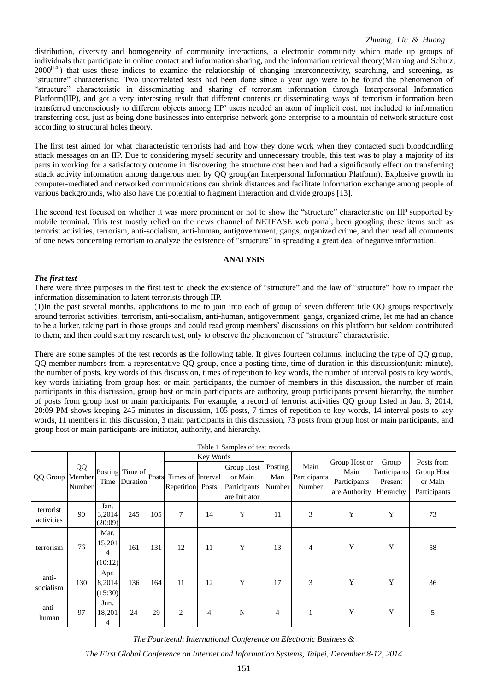distribution, diversity and homogeneity of community interactions, a electronic community which made up groups of individuals that participate in online contact and information sharing, and the information retrieval theory(Manning and Schutz,  $2000^{[14]}$ ) that uses these indices to examine the relationship of changing interconnectivity, searching, and screening, as "structure" characteristic. Two uncorrelated tests had been done since a year ago were to be found the phenomenon of "structure" characteristic in disseminating and sharing of terrorism information through Interpersonal Information Platform(IIP), and got a very interesting result that different contents or disseminating ways of terrorism information been transferred unconsciously to different objects among IIP' users needed an atom of implicit cost, not included to information transferring cost, just as being done businesses into enterprise network gone enterprise to a mountain of network structure cost according to structural holes theory.

The first test aimed for what characteristic terrorists had and how they done work when they contacted such bloodcurdling attack messages on an IIP. Due to considering myself security and unnecessary trouble, this test was to play a majority of its parts in working for a satisfactory outcome in discovering the structure cost been and had a significantly effect on transferring attack activity information among dangerous men by QQ group(an Interpersonal Information Platform). Explosive growth in computer-mediated and networked communications can shrink distances and facilitate information exchange among people of various backgrounds, who also have the potential to fragment interaction and divide groups [13].

The second test focused on whether it was more prominent or not to show the "structure" characteristic on IIP supported by mobile terminal. This test mostly relied on the news channel of NETEASE web portal, been googling these items such as terrorist activities, terrorism, anti-socialism, anti-human, antigovernment, gangs, organized crime, and then read all comments of one news concerning terrorism to analyze the existence of "structure" in spreading a great deal of negative information.

### **ANALYSIS**

#### *The first test*

There were three purposes in the first test to check the existence of "structure" and the law of "structure" how to impact the information dissemination to latent terrorists through IIP.

(1)In the past several months, applications to me to join into each of group of seven different title QQ groups respectively around terrorist activities, terrorism, anti-socialism, anti-human, antigovernment, gangs, organized crime, let me had an chance to be a lurker, taking part in those groups and could read group members' discussions on this platform but seldom contributed to them, and then could start my research test, only to observe the phenomenon of "structure" characteristic.

There are some samples of the test records as the following table. It gives fourteen columns, including the type of QQ group, QQ member numbers from a representative QQ group, once a posting time, time of duration in this discussion(unit: minute), the number of posts, key words of this discussion, times of repetition to key words, the number of interval posts to key words, key words initiating from group host or main participants, the number of members in this discussion, the number of main participants in this discussion, group host or main participants are authority, group participants present hierarchy, the number of posts from group host or main participants. For example, a record of terrorist activities QQ group listed in Jan. 3, 2014, 20:09 PM shows keeping 245 minutes in discussion, 105 posts, 7 times of repetition to key words, 14 interval posts to key words, 11 members in this discussion, 3 main participants in this discussion, 73 posts from group host or main participants, and group host or main participants are initiator, authority, and hierarchy.

|                         |              |                                |                                          |     |                                       |                | Table 1 Samples of test records                        |                          |                                |                                                        |                                               |                                       |
|-------------------------|--------------|--------------------------------|------------------------------------------|-----|---------------------------------------|----------------|--------------------------------------------------------|--------------------------|--------------------------------|--------------------------------------------------------|-----------------------------------------------|---------------------------------------|
|                         |              |                                |                                          |     |                                       | Key Words      |                                                        |                          |                                |                                                        |                                               | Posts from                            |
| QQ Group   Member       | QQ<br>Number |                                | Posting Time of posts<br>Time   Duration |     | Times of Interval<br>Repetition Posts |                | Group Host<br>or Main<br>Participants<br>are Initiator | Posting<br>Man<br>Number | Main<br>Participants<br>Number | Group Host or<br>Main<br>Participants<br>are Authority | Group<br>Participants<br>Present<br>Hierarchy | Group Host<br>or Main<br>Participants |
| terrorist<br>activities | 90           | Jan.<br>3,2014<br>(20:09)      | 245                                      | 105 | $\tau$                                | 14             | Y                                                      | 11                       | 3                              | Y                                                      | Y                                             | 73                                    |
| terrorism               | 76           | Mar.<br>15,201<br>4<br>(10:12) | 161                                      | 131 | 12                                    | 11             | Y                                                      | 13                       | 4                              | Y                                                      | Y                                             | 58                                    |
| anti-<br>socialism      | 130          | Apr.<br>8,2014<br>(15:30)      | 136                                      | 164 | 11                                    | 12             | Y                                                      | 17                       | 3                              | Y                                                      | Y                                             | 36                                    |
| anti-<br>human          | 97           | Jun.<br>18,201<br>4            | 24                                       | 29  | 2                                     | $\overline{4}$ | N                                                      | $\overline{4}$           |                                | Y                                                      | Y                                             | 5                                     |

*The Fourteenth International Conference on Electronic Business &*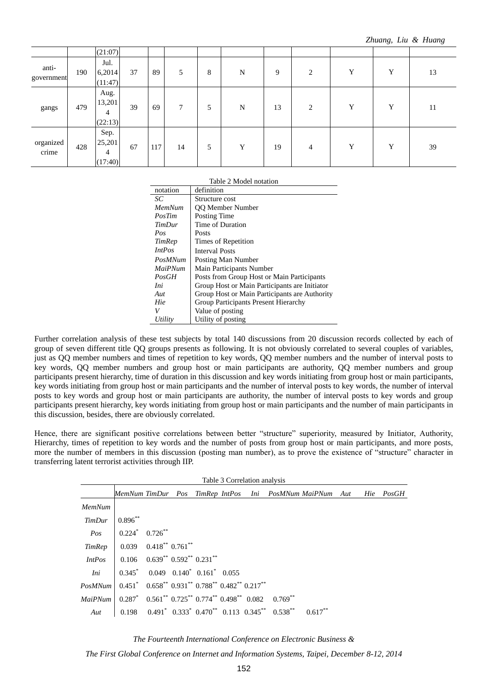|                     |     | (21:07)                        |    |     |    |   |             |    |   |   |   |    |
|---------------------|-----|--------------------------------|----|-----|----|---|-------------|----|---|---|---|----|
| anti-<br>government | 190 | Jul.<br>6,2014<br>(11:47)      | 37 | 89  | 5  | 8 | $\mathbf N$ | 9  | 2 | Y | Y | 13 |
| gangs               | 479 | Aug.<br>13,201<br>4<br>(22:13) | 39 | 69  | 7  | 5 | N           | 13 | 2 | Y | Y | 11 |
| organized<br>crime  | 428 | Sep.<br>25,201<br>4<br>(17:40) | 67 | 117 | 14 | 5 | Y           | 19 | 4 | Y | Y | 39 |

|  |  |  | Table 2 Model notation |
|--|--|--|------------------------|
|--|--|--|------------------------|

| notation      | definition                                    |
|---------------|-----------------------------------------------|
| SС            | Structure cost                                |
| MemNum        | QQ Member Number                              |
| PosTim        | Posting Time                                  |
| <b>TimDur</b> | Time of Duration                              |
| Pos           | Posts                                         |
| TimRep        | Times of Repetition                           |
| <i>IntPos</i> | <b>Interval Posts</b>                         |
| PosMNum       | Posting Man Number                            |
| MaiPNum       | Main Participants Number                      |
| PosGH         | Posts from Group Host or Main Participants    |
| Ini           | Group Host or Main Participants are Initiator |
| Aut           | Group Host or Main Participants are Authority |
| Hie           | Group Participants Present Hierarchy          |
| V             | Value of posting                              |
| Utility       | Utility of posting                            |

Further correlation analysis of these test subjects by total 140 discussions from 20 discussion records collected by each of group of seven different title QQ groups presents as following. It is not obviously correlated to several couples of variables, just as QQ member numbers and times of repetition to key words, QQ member numbers and the number of interval posts to key words, QQ member numbers and group host or main participants are authority, QQ member numbers and group participants present hierarchy, time of duration in this discussion and key words initiating from group host or main participants, key words initiating from group host or main participants and the number of interval posts to key words, the number of interval posts to key words and group host or main participants are authority, the number of interval posts to key words and group participants present hierarchy, key words initiating from group host or main participants and the number of main participants in this discussion, besides, there are obviously correlated.

Hence, there are significant positive correlations between better "structure" superiority, measured by Initiator, Authority, Hierarchy, times of repetition to key words and the number of posts from group host or main participants, and more posts, more the number of members in this discussion (posting man number), as to prove the existence of "structure" character in transferring latent terrorist activities through IIP.

| Table 3 Correlation analysis                                                                                            |  |  |  |  |  |  |                                                                                                                                                       |                                                                   |  |  |  |  |
|-------------------------------------------------------------------------------------------------------------------------|--|--|--|--|--|--|-------------------------------------------------------------------------------------------------------------------------------------------------------|-------------------------------------------------------------------|--|--|--|--|
|                                                                                                                         |  |  |  |  |  |  |                                                                                                                                                       | MemNum TimDur Pos TimRep IntPos Ini PosMNum MaiPNum Aut Hie PosGH |  |  |  |  |
|                                                                                                                         |  |  |  |  |  |  |                                                                                                                                                       |                                                                   |  |  |  |  |
|                                                                                                                         |  |  |  |  |  |  |                                                                                                                                                       |                                                                   |  |  |  |  |
|                                                                                                                         |  |  |  |  |  |  |                                                                                                                                                       |                                                                   |  |  |  |  |
|                                                                                                                         |  |  |  |  |  |  |                                                                                                                                                       |                                                                   |  |  |  |  |
|                                                                                                                         |  |  |  |  |  |  |                                                                                                                                                       |                                                                   |  |  |  |  |
|                                                                                                                         |  |  |  |  |  |  |                                                                                                                                                       |                                                                   |  |  |  |  |
|                                                                                                                         |  |  |  |  |  |  |                                                                                                                                                       |                                                                   |  |  |  |  |
| $MainNum \mid 0.287^* \quad 0.561^{**} \quad 0.725^{**} \quad 0.774^{**} \quad 0.498^{**} \quad 0.082 \quad 0.769^{**}$ |  |  |  |  |  |  |                                                                                                                                                       |                                                                   |  |  |  |  |
|                                                                                                                         |  |  |  |  |  |  | <i>Aut</i> $\begin{array}{ c c c c c c } \hline 0.198 & 0.491 & 0.333 & 0.470^{**} & 0.113 & 0.345^{**} & 0.538^{**} & 0.617^{**} \hline \end{array}$ |                                                                   |  |  |  |  |

*The Fourteenth International Conference on Electronic Business &*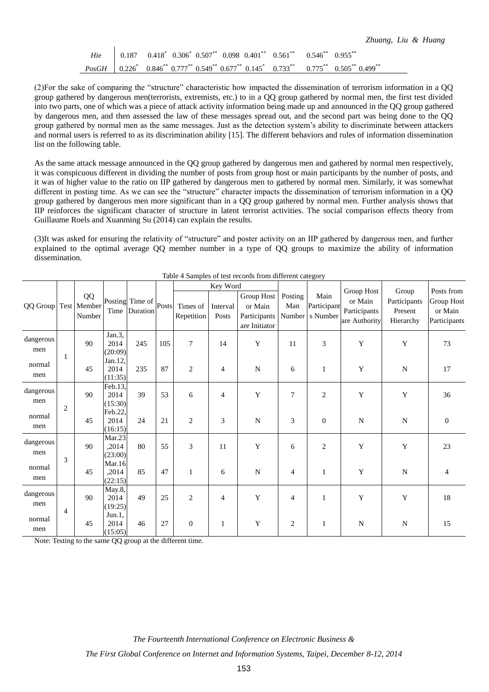|  |  |  |                                                                                                                                        |  | Zhuang, Liu & Huang |  |  |
|--|--|--|----------------------------------------------------------------------------------------------------------------------------------------|--|---------------------|--|--|
|  |  |  | Hie $\begin{array}{ c c c c c c } \hline 0.187 & 0.418 & 0.306 & 0.507 & 0.098 & 0.401 & 0.561 & 0.546 & 0.955 & \ \hline \end{array}$ |  |                     |  |  |
|  |  |  | $PosGH$ 0.226* 0.846** 0.777** 0.549** 0.677** 0.145* 0.733** 0.775** 0.505** 0.499**                                                  |  |                     |  |  |

(2)For the sake of comparing the "structure" characteristic how impacted the dissemination of terrorism information in a QQ group gathered by dangerous men(terrorists, extremists, etc.) to in a QQ group gathered by normal men, the first test divided into two parts, one of which was a piece of attack activity information being made up and announced in the QQ group gathered by dangerous men, and then assessed the law of these messages spread out, and the second part was being done to the QQ group gathered by normal men as the same messages. Just as the detection system's ability to discriminate between attackers and normal users is referred to as its discrimination ability [15]. The different behaviors and rules of information dissemination list on the following table.

As the same attack message announced in the QQ group gathered by dangerous men and gathered by normal men respectively, it was conspicuous different in dividing the number of posts from group host or main participants by the number of posts, and it was of higher value to the ratio on IIP gathered by dangerous men to gathered by normal men. Similarly, it was somewhat different in posting time. As we can see the "structure" character impacts the dissemination of terrorism information in a OO group gathered by dangerous men more significant than in a QQ group gathered by normal men. Further analysis shows that IIP reinforces the significant character of structure in latent terrorist activities. The social comparison effects theory from Guillaume Roels and Xuanming Su (2014) can explain the results.

(3)It was asked for ensuring the relativity of "structure" and poster activity on an IIP gathered by dangerous men, and further explained to the optimal average QQ member number in a type of QQ groups to maximize the ability of information dissemination.

|                      |                |              |                            |                                                                                   |     |                        | Key Word          |                                                        |                          |                                 |                                                        |                                               |                                                            |
|----------------------|----------------|--------------|----------------------------|-----------------------------------------------------------------------------------|-----|------------------------|-------------------|--------------------------------------------------------|--------------------------|---------------------------------|--------------------------------------------------------|-----------------------------------------------|------------------------------------------------------------|
| QQ Group Test Member |                | QQ<br>Number | Time                       | $\left  \text{Posting} \right $ Time of $\left  \text{Posts} \right $<br>Duration |     | Times of<br>Repetition | Interval<br>Posts | Group Host<br>or Main<br>Participants<br>are Initiator | Posting<br>Man<br>Number | Main<br>Participant<br>s Number | Group Host<br>or Main<br>Participants<br>are Authority | Group<br>Participants<br>Present<br>Hierarchy | Posts from<br><b>Group Host</b><br>or Main<br>Participants |
| dangerous<br>men     | 1              | 90           | Jan.3,<br>2014<br>(20:09)  | 245                                                                               | 105 | 7                      | 14                | Y                                                      | 11                       | 3                               | Y                                                      | Y                                             | 73                                                         |
| normal<br>men        |                | 45           | Jan.12,<br>2014<br>(11:35) | 235                                                                               | 87  | $\overline{c}$         | $\overline{4}$    | $\mathbf N$                                            | 6                        | 1                               | Y                                                      | $\mathbf N$                                   | 17                                                         |
| dangerous<br>men     | $\overline{2}$ | 90           | Feb.13,<br>2014<br>(15:30) | 39                                                                                | 53  | 6                      | $\overline{4}$    | Y                                                      | 7                        | $\overline{c}$                  | Y                                                      | Y                                             | 36                                                         |
| normal<br>men        |                | 45           | Feb.22,<br>2014<br>(16:15) | 24                                                                                | 21  | $\overline{2}$         | 3                 | N                                                      | 3                        | $\Omega$                        | $\mathbf N$                                            | $\mathbf N$                                   | $\boldsymbol{0}$                                           |
| dangerous<br>men     |                | 90           | Mar.23<br>,2014<br>(23:00) | 80                                                                                | 55  | 3                      | 11                | Y                                                      | 6                        | $\overline{c}$                  | Y                                                      | Y                                             | 23                                                         |
| normal<br>men        | 3              | 45           | Mar.16<br>.2014<br>(22:15) | 85                                                                                | 47  | $\mathbf{1}$           | 6                 | $\mathbf N$                                            | $\overline{4}$           | $\mathbf{1}$                    | Y                                                      | $\mathbf N$                                   | $\overline{4}$                                             |
| dangerous<br>men     |                | 90           | May.8,<br>2014<br>(19:25)  | 49                                                                                | 25  | $\overline{c}$         | $\overline{4}$    | $\mathbf Y$                                            | $\overline{4}$           | 1                               | Y                                                      | Y                                             | 18                                                         |
| normal<br>men        | $\overline{4}$ | 45           | Jun.1.<br>2014<br>(15:05)  | 46                                                                                | 27  | $\boldsymbol{0}$       | 1                 | Y                                                      | $\overline{c}$           | 1                               | N                                                      | N                                             | 15                                                         |

Table 4 Samples of test records from different category

Note: Testing to the same QQ group at the different time.

*The Fourteenth International Conference on Electronic Business &*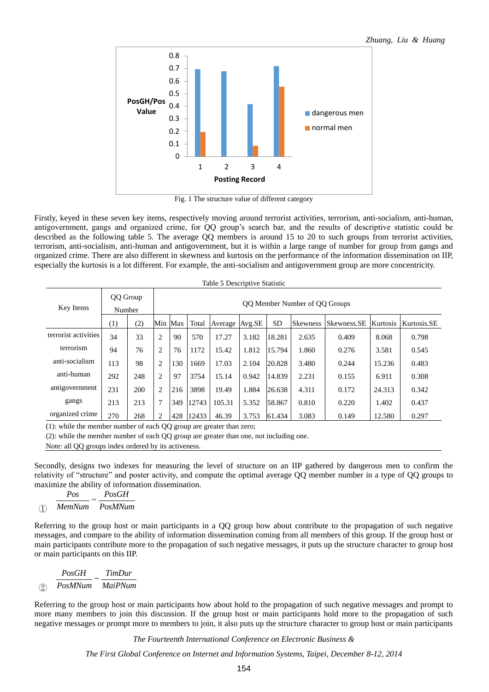

Fig. 1 The structure value of different category

Firstly, keyed in these seven key items, respectively moving around terrorist activities, terrorism, anti-socialism, anti-human, antigovernment, gangs and organized crime, for QQ group's search bar, and the results of descriptive statistic could be described as the following table 5. The average QQ members is around 15 to 20 to such groups from terrorist activities, terrorism, anti-socialism, anti-human and antigovernment, but it is within a large range of number for group from gangs and organized crime. There are also different in skewness and kurtosis on the performance of the information dissemination on IIP, especially the kurtosis is a lot different. For example, the anti-socialism and antigovernment group are more concentricity.

| Table 5 Descriptive Statistic |                    |                               |                |     |       |                |       |           |                 |             |          |             |
|-------------------------------|--------------------|-------------------------------|----------------|-----|-------|----------------|-------|-----------|-----------------|-------------|----------|-------------|
| Key Items                     | QQ Group<br>Number | QQ Member Number of QQ Groups |                |     |       |                |       |           |                 |             |          |             |
|                               | $\left(1\right)$   | (2)                           | Min Max        |     | Total | Average Avg.SE |       | <b>SD</b> | <b>Skewness</b> | Skewness.SE | Kurtosis | Kurtosis.SE |
| terrorist activities          | 34                 | 33                            | 2              | 90  | 570   | 17.27          | 3.182 | 18.281    | 2.635           | 0.409       | 8.068    | 0.798       |
| terrorism                     | 94                 | 76                            | 2              | 76  | 1172  | 15.42          | 1.812 | 15.794    | 1.860           | 0.276       | 3.581    | 0.545       |
| anti-socialism                | 113                | 98                            | 2              | 130 | 1669  | 17.03          | 2.104 | 20.828    | 3.480           | 0.244       | 15.236   | 0.483       |
| anti-human                    | 292                | 248                           | $\overline{c}$ | 97  | 3754  | 15.14          | 0.942 | 14.839    | 2.231           | 0.155       | 6.911    | 0.308       |
| antigovernment                | 231                | 200                           | 2              | 216 | 3898  | 19.49          | 1.884 | 26.638    | 4.311           | 0.172       | 24.313   | 0.342       |
| gangs                         | 213                | 213                           |                | 349 | 12743 | 105.31         | 5.352 | 58.867    | 0.810           | 0.220       | 1.402    | 0.437       |
| organized crime               | 270                | 268                           | 2              | 428 | 12433 | 46.39          | 3.753 | 61.434    | 3.083           | 0.149       | 12.580   | 0.297       |

(1): while the member number of each QQ group are greater than zero;

(2): while the member number of each QQ group are greater than one, not including one.

Note: all QQ groups index ordered by its activeness.

Secondly, designs two indexes for measuring the level of structure on an IIP gathered by dangerous men to confirm the relativity of "structure" and poster activity, and compute the optimal average QQ member number in a type of QQ groups to maximize the ability of information dissemination.<br> *Pos PosGH* 

$$
\frac{Pos}{MemNum} \sim \frac{PosGH}{PosMNum}
$$

Referring to the group host or main participants in a QQ group how about contribute to the propagation of such negative messages, and compare to the ability of information dissemination coming from all members of this group. If the group host or main participants contribute more to the propagation of such negative messages, it puts up the structure character to group host or main participants on this IIP.

$$
\frac{PosGH}{PosMNum} \sim \frac{TimDur}{MainPNum}
$$

Referring to the group host or main participants how about hold to the propagation of such negative messages and prompt to more many members to join this discussion. If the group host or main participants hold more to the propagation of such negative messages or prompt more to members to join, it also puts up the structure character to group host or main participants

*The Fourteenth International Conference on Electronic Business &*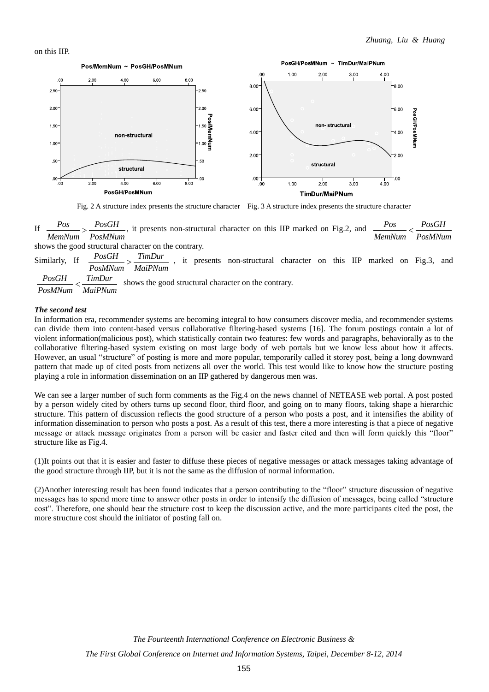on this IIP.



Fig. 2 A structure index presents the structure character Fig. 3 A structure index presents the structure character

If  $\frac{Pos}{MemNum} > \frac{PosGH}{PosMNum}$ , it presents non-structural character on this IIP marked on Fig.2, and *Pos PosGH*  $\frac{1}{M}$ emNum  $\frac{1}{N}$  PosMNum *Pos PosGH*  $M$ emNum  $\lt$ 

shows the good structural character on the contrary.

Similarly, If  $\frac{PosGH}{\sqrt{S}}$  ,  $\frac{TimDur}{\sqrt{S}}$ , it presents non-structural character on this IIP marked on Fig.3, and  $\frac{POSOII}{POSMNum} > \frac{PUMDMI}{MaiPNum}$ 

 $\frac{PosGH}{S}$   $\leq$   $\frac{TimDur}{S}$  shows the good structural character on the contrary. *PosMNum MaiPNum*  $\lt$ 

#### *The second test*

In information era, recommender systems are becoming integral to how consumers discover media, and recommender systems can divide them into content-based versus collaborative filtering-based systems [16]. The forum postings contain a lot of violent information(malicious post), which statistically contain two features: few words and paragraphs, behaviorally as to the collaborative filtering-based system existing on most large body of web portals but we know less about how it affects. However, an usual "structure" of posting is more and more popular, temporarily called it storey post, being a long downward pattern that made up of cited posts from netizens all over the world. This test would like to know how the structure posting playing a role in information dissemination on an IIP gathered by dangerous men was.

We can see a larger number of such form comments as the Fig.4 on the news channel of NETEASE web portal. A post posted by a person widely cited by others turns up second floor, third floor, and going on to many floors, taking shape a hierarchic structure. This pattern of discussion reflects the good structure of a person who posts a post, and it intensifies the ability of information dissemination to person who posts a post. As a result of this test, there a more interesting is that a piece of negative message or attack message originates from a person will be easier and faster cited and then will form quickly this "floor" structure like as Fig.4.

(1)It points out that it is easier and faster to diffuse these pieces of negative messages or attack messages taking advantage of the good structure through IIP, but it is not the same as the diffusion of normal information.

(2)Another interesting result has been found indicates that a person contributing to the "floor" structure discussion of negative messages has to spend more time to answer other posts in order to intensify the diffusion of messages, being called "structure cost". Therefore, one should bear the structure cost to keep the discussion active, and the more participants cited the post, the more structure cost should the initiator of posting fall on.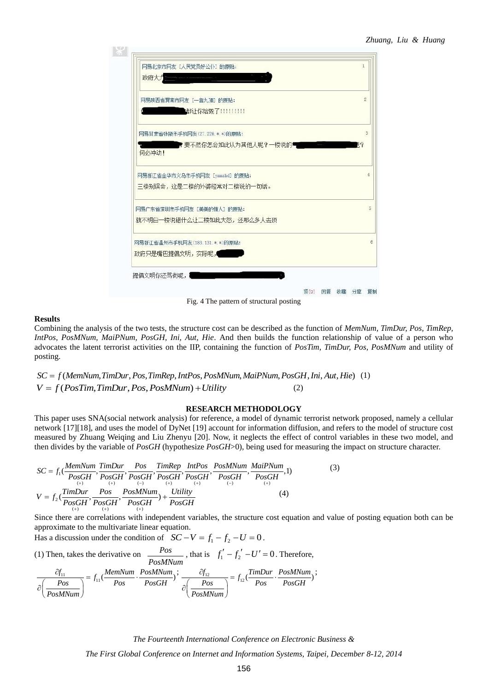

Fig. 4 The pattern of structural posting

#### **Results**

Combining the analysis of the two tests, the structure cost can be described as the function of *MemNum, TimDur, Pos, TimRep, IntPos, PosMNum, MaiPNum, PosGH, Ini, Aut, Hie*. And then builds the function relationship of value of a person who advocates the latent terrorist activities on the IIP, containing the function of *PosTim, TimDur, Pos, PosMNum* and utility of posting. *IntPos, PosMNum, MaiPNum, PosGH, Ini, Aut, Hie.* And then builds the function relationsh<br>advocates the latent terrorist activities on the IIP, containing the function of *PosTim, TimDur*, *1*<br>oosting.<br> $SC = f(MemNum, TimDur, Pos, TimRep, IntPos, Pos$ 

(1)  $V = f(PoSTim, TimDur, Pos, PosMNum) + Utility$  (2)

#### **RESEARCH METHODOLOGY**

This paper uses SNA(social network analysis) for reference, a model of dynamic terrorist network proposed, namely a cellular network [17][18], and uses the model of DyNet [19] account for information diffusion, and refers to the model of structure cost measured by Zhuang Weiqing and Liu Zhenyu [20]. Now, it neglects the effect of control variables in these two model, and<br>then divides by the variable of *PosGH* (hypothesize *PosGH*>0), being used for measuring the impact

The desired by Zntaing weighing and Eta Zneryd [20]. Now, it suggests the effect of control variables in these two model, the  
then divides by the variable of *PosGH* (hypothesize *PosGH*>0), being used for measuring the impact on structure character.  

$$
SC = f_1(\frac{MemNum \cdot TimDur}{PosGH}, \frac{Pos}{{PosGH}, \frac{Pos}{{PosGH}, \frac{Pos}{{PosGH}}, \frac{Pos}{{PosGH}, \frac{Pos}{{PosGH}, \frac{NoSGH}{posGH}}, \frac{Pos}{{PosGH}, \frac{Pos}{{PosGH}, \frac{Pos}{{posGH}, \frac{Pos}{{posGH}, \frac{Pos}{{posGH}}}}{posGH})}{posGH} \cdot \frac{Pos}{{PosGH}} \cdot \frac{Unility}{{PosGH}} \qquad (4)
$$

Since there are correlations with independent variables, the structure cost equation and value of posting equation both can be approximate to the multivariate linear equation.

approximate to the multivariate linear equation.<br>Has a discussion under the condition of  $SC - V = f_1 - f_2 - U = 0$ .

(1) Then, takes the derivative on 
$$
\frac{Pos}{PosMNum}
$$
, that is  $f'_1 - f'_2 - U' = 0$ . Therefore,

$$
\frac{\partial f_{11}}{\partial \left(\frac{Pos}{PosMNum}\right)} = f_{11}\frac{(MemNum}{Pos} \cdot \frac{PosMNum}{PosGH}) \cdot \frac{\partial f_{12}}{\partial \left(\frac{Pos}{PosMNum}\right)} = f_{12}\frac{(TimDur)}{PosGH} \cdot \frac{PosMNum}{PosGH} \cdot \frac{PosMNum}{PosGH}
$$

*The Fourteenth International Conference on Electronic Business &*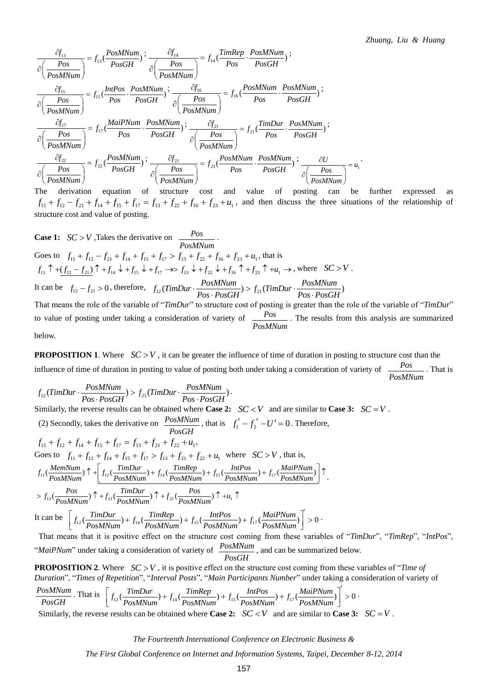$$
\frac{\partial f_{13}}{\partial \left(\frac{Pos}{PosMNum}\right)} = f_{13}(\frac{PosMNum}{PosGH}) \div \frac{\partial f_{14}}{\partial \left(\frac{Pos}{PosMNum}\right)} = f_{14}(\frac{TimRep}{Pos} \cdot \frac{PosMNum}{PosGH}) \div \frac{\partial f_{15}}{\partial \left(\frac{Pos}{PosMNum}\right)} = f_{15}(\frac{IntPos}{PosH} \cdot \frac{PosMNum}{PosGH}) \div \frac{\partial f_{16}}{\partial \left(\frac{Pos}{PosMNum}\right)} = f_{16}(\frac{PosMNum}{Pos} \cdot \frac{PosMNum}{PosGH}) \div \frac{\partial f_{16}}{\partial \left(\frac{Pos}{PosMNum}\right)} = f_{16}(\frac{PosMNum}{Pos} \cdot \frac{PosMNum}{PosGH}) \div \frac{\partial f_{17}}{\partial \left(\frac{Pos}{PosMNum}\right)} = f_{17}(\frac{MainPNum}{Pos} \cdot \frac{PosMNum}{PosGH}) \div \frac{\partial f_{21}}{\partial \left(\frac{Pos}{PosMNum}\right)} = f_{21}(\frac{TimDur}{Pos} \cdot \frac{PosMNum}{PosGH}) \div \frac{\partial f_{22}}{\partial \left(\frac{PosMNum}{PosMNum}\right)} = f_{22}(\frac{PosMNum}{PosGH}) \div \frac{\partial f_{23}}{\partial \left(\frac{Pos}{PosMNum}\right)} = f_{23}(\frac{PosMNum}{Pos} \cdot \frac{PosMNum}{PosGH}) \div \frac{\partial U}{\partial \left(\frac{Pos}{PosMNum}\right)} = u_1 \cdot \frac{\partial U}{\partial \left(\frac{Pos}{PosMNum}\right)} = u_1 \cdot \frac{\partial U}{\partial \left(\frac{Pos}{PosMNum}\right)} = u_2 \cdot \frac{\partial U}{\partial \left(\frac{Pos}{PosMNum}\right)} = u_1 \cdot \frac{\partial U}{\partial \left(\frac{Pos}{PosMNum}\right)} = u_2 \cdot \frac{\partial U}{\partial \left(\frac{Pos}{PosMNum}\right)} = u_1 \cdot \frac{\partial U}{\partial \left(\frac{Pos}{PosMNum}\right)} = u_2 \cdot \frac{\partial U}{\partial \left(\frac{Pos}{PosMNum}\right)} = u_2 \cdot \frac{\partial U}{\partial \left(\frac{Pos}{PosMNum}\right)} = u_1 \cdot \frac{\partial U}{\partial \left(\frac{Pos}{PosMNum}\right)} = u_2 \cdot \frac{\partial U}{\partial \left(\frac{Pos}{PosMNum}\right)} = u_2 \cdot \frac{\partial U}{\partial
$$

The derivation equation of structure cost and value of posting can be further expressed as  $\begin{array}{ccc}\n\text{(} \text{PosMNum}) & \text{(} \text{PosMNum}) \\
\text{the derivation equation of structure cost and value of } \text{posting can be further expressed as} \\
f_{11} + f_{12} - f_{21} + f_{14} + f_{15} + f_{17} = f_{13} + f_{22} + f_{16} + f_{23} + u_1, \text{ and then discuss the three situations of the relationship of}\n\end{array}$ structure cost and value of posting.

Case 1: 
$$
SC > V
$$
, Take the derivative on  
\n
$$
\frac{PosMNum}{PosMNum}
$$
\n  
\nGoes to  $f_{11} + f_{12} - f_{21} + f_{14} + f_{15} + f_{17} > f_{13} + f_{22} + f_{16} + f_{23} + u_1$ , that is  
\n $f_{11} \uparrow + (f_{12} - f_{21}) \uparrow + f_{14} \downarrow + f_{15} \downarrow + f_{17} \rightarrow f_{13} \downarrow + f_{22} \downarrow + f_{16} \uparrow + f_{23} \uparrow + u_1 \rightarrow$ , where  $SC > V$ .  
\nIt can be  $f_{12} - f_{21} > 0$ , therefore,  $f_{12}(TimDur \cdot \frac{PosMNum}{Pos \cdot PosGH}) > f_{21}(TimDur \cdot \frac{PosMNum}{Pos \cdot PosGH})$   
\nThat means the role of the variable of "TimDur" to structure cost of posting is greater than the role of the variable of "TimDur"  
\nto value of posting under taking a consideration of variety of  
\n $\frac{Pos}{PosMNum}$ . The results from this analysis are summarized  
\nbelow.

**PROPOSITION 1.** Where  $SC > V$ , it can be greater the influence of time of duration in posting to structure cost than the influence of time of duration in posting to value of posting both under taking a consideration of variety of  $\sqrt{POS}$ . That is *PosMNum*

influence of time of duration in posting to value of posting both under taking a consideration of variety of  
\n
$$
f_{12}(TimDur \cdot \frac{PosMNum}{Pos \cdot PosGH}) > f_{21}(TimDur \cdot \frac{PosMNum}{Pos \cdot PosGH})
$$
.  
\nSimilarly, the reverse results can be obtained where **Case 2:**  $SC < V$  and are similar to **Case 3:**  $SC = V$ .  
\n(2) Secondly, takes the derivative on  $\frac{PosMNum}{PosGH}$ , that is  $f'_1 - f'_2 - U' = 0$ . Therefore,  
\n $f_{11} + f_{12} + f_{14} + f_{15} + f_{17} = f_{13} + f_{21} + f_{22} + u_1$ ,  
\n $Goes to f_{11} + f_{12} + f_{14} + f_{15} + f_{17} > f_{13} + f_{21} + f_{22} + u_1$  where  $SC > V$ , that is,  
\n $f_{11}(\frac{MemNum}{PosMNum}) \uparrow + \left[ f_{12}(\frac{TimDur}{PosMNum}) + f_{14}(\frac{TimeRep}{PosMNum}) + f_{15}(\frac{IntPos}{PosMNum}) + f_{17}(\frac{MailPNum}{PosMNum}) \right] \uparrow$ .  
\n $> f_{13}(\frac{Pos}{PosMNum}) \uparrow + f_{21}(\frac{TimDur}{PosMNum}) \uparrow + f_{22}(\frac{Pos}{PosMNum}) \uparrow + u_1 \uparrow$   
\nIt can be  $\left[ f_{12}(\frac{TimDur}{PosMNum}) + f_{14}(\frac{TimRep}{PosMNum}) + f_{15}(\frac{IntPos}{PosMNum}) + f_{17}(\frac{MailPNum}{PosMNum}) \right] > 0$ .  
\nThat means that it is positive effect on the structure cost coming from these variables of "TimDux" "

It can be  $\left| \int_{f_{-1}} \frac{I \ln D u r}{(I \ln L)} + \int_{f_{-1}} \frac{I \ln Rep}{(I \ln L)} \right| + \int_{f_{-1}} \frac{I \ln I \ln S}{(I \ln L)} + \int_{f_{-1}} \frac{M a I P N u m}{(I \ln L)} \right| > 0$ ľ  $\frac{P_{OS}}{MNum}$   $\uparrow + f_{21}(\frac{TimDur}{PosMNum}) \uparrow + f_{22}(\frac{Pos}{PosMNum}) \uparrow + u_1 \uparrow$   $\left[ f_{12}(\frac{TimDur}{PosMNum}) + f_{14}(\frac{TimRep}{PosMNum}) + f_{15}(\frac{IntPos}{PosMNum}) + f_{17}(\frac{MailPNum}{PosMNum}) \right]' > 0$   $\frac{1}{TVar}$   $\frac{1}{TVar}$   $\frac{1}{TVar}$   $\frac{1}{TVar}$   $\frac{1}{TVar}$   $\frac{1}{TVar}$   $\frac{1}{TVar}$   $\frac{$ 

That means that it is positive effect on the structure cost coming from these variables of "*TimDur*", "*TimRep*", "*IntPos*", "*MaiPNum*" under taking a consideration of variety of  $\frac{PosMNum}{P}$ , and can be summarized below. *PosGH*

**PROPOSITION 2.** Where  $SC > V$ , it is positive effect on the structure cost coming from these variables of "*Time of Duration*", "*Times of Repetition*", "*Interval Posts*", "*Main Participants Number*" under taking a consi **PROPOSITION 2.** Where  $SC > V$ , it is positive effect on the structure cost coming from these variables of "*Time of*<br>Duration", "*Times of Repetition*", "*Interval Posts*", "*Main Participants Number*" under taking a consi

$$
\frac{PosMNum}{PosGH}
$$
. That is 
$$
\left[f_{12}(\frac{TimDur}{PosMNum}) + f_{14}(\frac{TimRep}{PosMNum}) + f_{15}(\frac{IntPos}{PosMNum}) + f_{17}(\frac{MainNum}{PosMNum})\right] > 0
$$
.

Similarly, the reverse results can be obtained where **Case 2:**  $SC < V$  and are similar to **Case 3:**  $SC = V$ .

*The Fourteenth International Conference on Electronic Business &*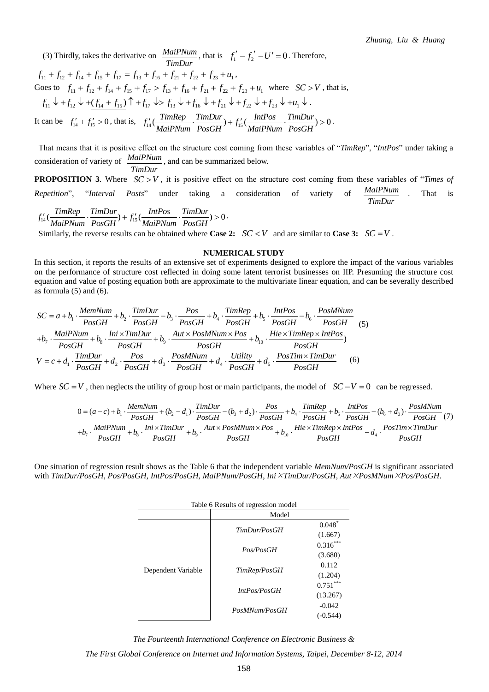*Zhuang, Liu & Huang*

(3) Thirdly, takes the derivative on  $\frac{MainNum}{TimDur}$ , that is  $f'_1 - f'_2 - U' = 0$ . Therefore,<br>  $f_{11} + f_{12} + f_{14} + f_{15} + f_{17} = f_{13} + f_{16} + f_{21} + f_{22} + f_{23} + u_1$ ,<br>
Goes to  $f_{11} + f_{12} + f_{14} + f_{15} + f_{17} > f_{13} + f_{16} + f_{21} + f_{22} + f_{2$  $f_{11} + f_{12} + f_{14} + f_{15} + f_{17} = f_{13} + f_{16} + f_{21} + f_{22} + f_{23} + u_1$ Goes to  $f_{11} + f_{12} + f_{14} + f_{15} + f_{17} > f_{13} + f_{16} + f_{21} + f_{22} + f_{23} + u_1$  where  $SC > V$ , that is, .  $f_{11} \downarrow + f_{12} \downarrow + \underbrace{(f_{14} + f_{15})}_{14 \text{ (Lian be)}} \uparrow + f_{17} \downarrow \Rightarrow f_{13} \downarrow + f_{16} \downarrow + f_{21} \downarrow + f_{22} \downarrow + f_{23} \downarrow + u_1 \downarrow.$ <br>It can be  $f_{14}' + f_{15}' > 0$ , that is,  $f_{14}'(\underbrace{\text{TimRep}}_{\text{MainPNum}} \cdot \underbrace{\text{TimDur}}_{\text{PosGH}}) + f_{15}'(\underbrace{\text{IntPos}}_{\text{MainPNum}} \cdot \underbrace{\$  $1_1 + f_{12} + f_{14} + f_{15} + f_{17} = f_{13} + f_{16} + f_{21} + f_{22} + f_{23} + u_1,$ <br>
bes to  $f_{11} + f_{12} + f_{14} + f_{15} + f_{17} > f_{13} + f_{16} + f_{21} + f_{22} + f_{23} + u_1$  where  $SC > V$ , that is,<br>  $f_{11} + f_{12} + f_{12} + f_{14} + f_{15}$   $\uparrow + f_{17} \downarrow > f_{13} \downarrow + f_{16$ *MaiPNum PosGH*  $f_1$ ,  $f_2$  *MaiPNum PosGH*<br>*MaiPNum PosGH*  $f_1$ ,  $\frac{IntPos}{MatPNum}$  *PosGH*  $f_1 \Leftrightarrow f_{13} \Leftrightarrow f_{16} \Leftrightarrow f_{16} \Leftrightarrow f_{21} \Leftrightarrow f_{22} \Leftrightarrow f_{23} \Leftrightarrow +u_1 \Leftrightarrow$ <br>  $f_4 \left( \frac{Timeep}{MainPNum} \cdot \frac{TimDur}{PosGH} \right) + f_{15}' \left( \frac{IntPos}{MainPNum} \cdot \frac{TimDur}{PosGH} \right) > 0$ .

That means that it is positive effect on the structure cost coming from these variables of "*TimRep*", "*IntPos*" under taking a consideration of variety of  $\frac{MainNum}{\text{num}}$ , and can be summarized below. *TimDur*

**PROPOSITION 3.** Where  $SC > V$ , it is positive effect on the structure cost coming from these variables of "*Times of MaiPNum TimDur*

*Repetition*", "Interval *Posts*" under taking a consideration of variety of 
$$
\frac{MainPNum}{TimDur}
$$
. That is  $f'_{14}(\frac{TimRep}{MainPNum} \cdot \frac{TimDur}{PosGH}) + f'_{15}(\frac{IntPos}{MainPNum} \cdot \frac{TimDur}{PosGH}) > 0$ . Similarly, the reverse results can be obtained where **Case 2:**  $SC < V$  and are similar to **Case 3:**  $SC = V$ .

#### **NUMERICAL STUDY**

In this section, it reports the results of an extensive set of experiments designed to explore the impact of the various variables on the performance of structure cost reflected in doing some latent terrorist businesses on IIP. Presuming the structure cost equation and value of posting equation both are approximate to the multivariate linear equation, and can be severally described as formula  $(5)$  and  $(6)$ . *MemNum*  $SC = a + b_1 \cdot \frac{MemNum}{PosGH} + b_2 \cdot \frac{TimDur}{PosGH} - b_3 \cdot \frac{Pos}{PosGH} + b_4 \cdot \frac{TimRep}{PosGH} + b_5 \cdot \frac{IntPos}{PosGH} - b_6 \cdot \frac{PosMNum}{PosGH}$  (5)

$$
SC = a + b_1 \cdot \frac{MemNum}{PosGH} + b_2 \cdot \frac{TimDur}{PosGH} - b_3 \cdot \frac{Pos}{PosGH} + b_4 \cdot \frac{TimRep}{PosGH} + b_5 \cdot \frac{IntPos}{PosGH} - b_6 \cdot \frac{PosMNum}{PosGH}
$$
(5)  
+
$$
+b_7 \cdot \frac{MainPNum}{PosGH} + b_8 \cdot \frac{Init \times TimDur}{PosGH} + b_9 \cdot \frac{Aut \times PosMNum \times Pos}{PosGH} + b_{10} \cdot \frac{Hie \times TimRep \times IntPos}{PosGH}
$$
  

$$
V = c + d_1 \cdot \frac{TimDur}{PosGH} + d_2 \cdot \frac{Pos}{PosGH} + d_3 \cdot \frac{PosMNum}{PosGH} + d_4 \cdot \frac{Utility}{PosGH} + d_5 \cdot \frac{PosTim \times TimDur}{PosGH}
$$
(6)

$$
V = c + d_1 \cdot \frac{P_{OSGH} + d_2 \cdot P_{OSGH} + d_3 \cdot P_{OSGH} + d_4 \cdot P_{OSGH} + d_5 \cdot P_{OSGH}}{P_{OSGH} + P_{OSGH} + P_{OSGH}}
$$
\nWhere  $SC = V$ , then neglects the utility of group host or main participants, the model of  $SC - V = 0$  can be regressed.

\n
$$
0 = (a - c) + b_1 \cdot \frac{M_{emNum}}{P_{OSGH}} + (b_2 - d_1) \cdot \frac{T_{imDur}}{P_{OSGH}} - (b_3 + d_2) \cdot \frac{P_{OS}}{P_{OSGH}} + b_4 \cdot \frac{T_{imRep}}{P_{OSGH}} + b_5 \cdot \frac{IntPos}{P_{OSGH}} - (b_6 + d_3) \cdot \frac{P_{OSMNum}}{P_{OSGH}} = (7) + b_7 \cdot \frac{M_{eqi}P_{Num}}{P_{OSGH}} + b_8 \cdot \frac{Ini \times T_{imDur}}{P_{OSGH}} + b_9 \cdot \frac{Aut \times P_{OSMNum} \times Pos}{P_{OSGH}} + b_{10} \cdot \frac{Hi \times T_{imRep} \times IntPos}{P_{OSGH}} - d_4 \cdot \frac{P_{OSTim} \times T_{imDur}}{P_{OSGH}}
$$

One situation of regression result shows as the Table 6 that the independent variable *MemNum/PosGH* is significant associated with *TimDur/PosGH*, *Pos/PosGH*, *IntPos/PosGH*, *MaiPNum/PosGH*, *IniTimDur/PosGH*, *AutPosMNumPos/PosGH*.

|                    | Table 6 Results of regression model |                        |  |  |  |  |  |  |  |  |  |
|--------------------|-------------------------------------|------------------------|--|--|--|--|--|--|--|--|--|
|                    |                                     |                        |  |  |  |  |  |  |  |  |  |
|                    | TimDur/PosGH                        | $0.048*$<br>(1.667)    |  |  |  |  |  |  |  |  |  |
|                    | Pos/PosGH                           | $0.316***$<br>(3.680)  |  |  |  |  |  |  |  |  |  |
| Dependent Variable | TimRep/PosGH                        | 0.112<br>(1.204)       |  |  |  |  |  |  |  |  |  |
|                    | IntPos/PosGH                        | $0.751***$<br>(13.267) |  |  |  |  |  |  |  |  |  |
|                    | PosMNum/PosGH                       | $-0.042$<br>$(-0.544)$ |  |  |  |  |  |  |  |  |  |

*The Fourteenth International Conference on Electronic Business &*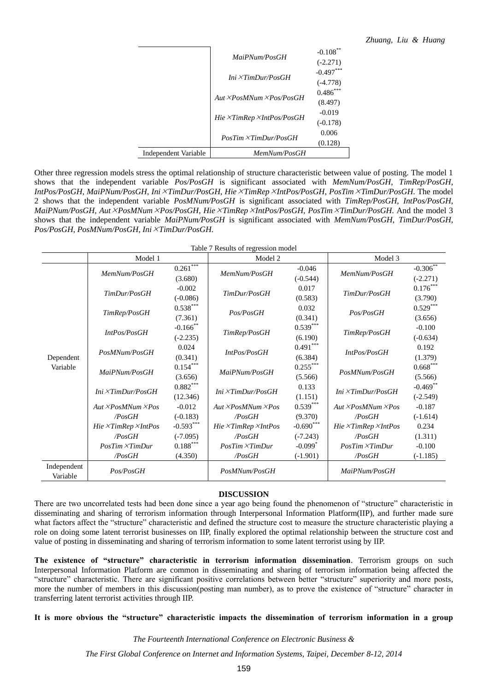|                      | MaiPNum/PosGH                           | $-0.108$ **<br>$(-2.271)$ |
|----------------------|-----------------------------------------|---------------------------|
|                      | Ini X TimDur/PosGH                      | $-0.497***$<br>$(-4.778)$ |
|                      | Aut XPosMNum XPos/PosGH                 | $0.486***$<br>(8.497)     |
|                      | $Hie \times TimRep \times IntPos/PosGH$ | $-0.019$<br>$(-0.178)$    |
|                      | $PosTim \times TimDur/PosGH$            | 0.006<br>(0.128)          |
| Independent Variable | MemNum/PosGH                            |                           |

Other three regression models stress the optimal relationship of structure characteristic between value of posting. The model 1 shows that the independent variable *Pos/PosGH* is significant associated with *MemNum/PosGH*, *TimRep/PosGH*, *IntPos/PosGH*, *MaiPNum/PosGH*, *IniTimDur/PosGH*, *HieTimRepIntPos/PosGH*, *PosTimTimDur/PosGH*. The model 2 shows that the independent variable *PosMNum/PosGH* is significant associated with *TimRep/PosGH*, *IntPos/PosGH*, *MaiPNum/PosGH*, *AutPosMNumPos/PosGH*, *HieTimRepIntPos/PosGH*, *PosTimTimDur/PosGH*. And the model 3 shows that the independent variable *MaiPNum/PosGH* is significant associated with *MemNum/PosGH*, *TimDur/PosGH*, *Pos/PosGH*, *PosMNum/PosGH*, *IniTimDur/PosGH*.

Table 7 Results of regression model

|                         | Model 1                         |                                                                                                                                                                                                                                                                                                                                                                                                                                                                                                                                                                                                                                                                                                                                                                                                                                                                                                                                                                                                                                                                                                                                                                                                                                                                | Model 2      |          | Model 3                                                                                                                                                              |             |
|-------------------------|---------------------------------|----------------------------------------------------------------------------------------------------------------------------------------------------------------------------------------------------------------------------------------------------------------------------------------------------------------------------------------------------------------------------------------------------------------------------------------------------------------------------------------------------------------------------------------------------------------------------------------------------------------------------------------------------------------------------------------------------------------------------------------------------------------------------------------------------------------------------------------------------------------------------------------------------------------------------------------------------------------------------------------------------------------------------------------------------------------------------------------------------------------------------------------------------------------------------------------------------------------------------------------------------------------|--------------|----------|----------------------------------------------------------------------------------------------------------------------------------------------------------------------|-------------|
|                         | MemNum/PosGH                    | $0.261***$                                                                                                                                                                                                                                                                                                                                                                                                                                                                                                                                                                                                                                                                                                                                                                                                                                                                                                                                                                                                                                                                                                                                                                                                                                                     | MemNum/PosGH | $-0.046$ | MemNum/PosGH                                                                                                                                                         | $-0.306$ ** |
|                         |                                 | (3.680)<br>$(-0.544)$<br>$-0.002$<br>0.017<br>TimDur/PosGH<br>TimDur/PosGH<br>$(-0.086)$<br>(0.583)<br>$0.538***$<br>0.032<br>TimRep/PosGH<br>Pos/PosGH<br>Pos/PosGH<br>(7.361)<br>(0.341)<br>$0.539***$<br>$-0.166$ **<br>IntPos/PosGH<br>TimRep/PosGH<br>TimRep/PosGH<br>(6.190)<br>$(-2.235)$<br>$0.491***$<br>0.024<br>PosMNum/PosGH<br>IntPos/PosGH<br>IntPos/PosGH<br>(0.341)<br>(6.384)<br>$0.154***$<br>$0.255***$<br>MaiPNum/PosGH<br>MaiPNum/PosGH<br>PosMNum/PosGH<br>(3.656)<br>(5.566)<br>$0.882***$<br>0.133<br>Ini ×TimDur/PosGH<br>Ini ×TimDur/PosGH<br>Ini ×TimDur/PosGH<br>(12.346)<br>(1.151)<br>$0.539***$<br>$-0.012$<br>$Aut \times PosMNum \times Pos$<br>$Aut \times PosMNum \times Pos$<br>$(-0.183)$<br>(9.370)<br>$\textcolor{blue}{PosGH}$<br>$\textcolor{blue}{P}$ osGH<br>$\textcolor{blue}{P}$ osGH<br>$-0.690***$<br>$-0.593***$<br>Hie ×TimRep ×IntPos<br>Hie ×TimRep ×IntPos<br>$\textcolor{blue}{PosGH}$<br>$(-7.095)$<br>$\angle PosGH$<br>$(-7.243)$<br>$\textcolor{blue}{P}$ osGH<br>$0.188***$<br>$-0.099$ <sup>*</sup><br>$PosTim \times TimDur$<br>$PosTim \times TimDur$<br>$\textcolor{blue}{PosGH}$<br>(4.350)<br>/PosGH<br>$(-1.901)$<br>$\textcolor{blue}{PosGH}$<br>Pos/PosGH<br>PosMNum/PosGH<br>MaiPNum/PosGH |              |          |                                                                                                                                                                      |             |
|                         | TimDur/PosGH                    |                                                                                                                                                                                                                                                                                                                                                                                                                                                                                                                                                                                                                                                                                                                                                                                                                                                                                                                                                                                                                                                                                                                                                                                                                                                                |              |          |                                                                                                                                                                      |             |
|                         |                                 |                                                                                                                                                                                                                                                                                                                                                                                                                                                                                                                                                                                                                                                                                                                                                                                                                                                                                                                                                                                                                                                                                                                                                                                                                                                                |              |          | $-0.100$<br>0.192<br>$0.668***$<br>$-0.187$<br>0.234<br>$-0.100$                                                                                                     |             |
|                         |                                 |                                                                                                                                                                                                                                                                                                                                                                                                                                                                                                                                                                                                                                                                                                                                                                                                                                                                                                                                                                                                                                                                                                                                                                                                                                                                |              |          |                                                                                                                                                                      |             |
|                         |                                 |                                                                                                                                                                                                                                                                                                                                                                                                                                                                                                                                                                                                                                                                                                                                                                                                                                                                                                                                                                                                                                                                                                                                                                                                                                                                |              |          |                                                                                                                                                                      |             |
|                         |                                 |                                                                                                                                                                                                                                                                                                                                                                                                                                                                                                                                                                                                                                                                                                                                                                                                                                                                                                                                                                                                                                                                                                                                                                                                                                                                |              |          |                                                                                                                                                                      |             |
|                         |                                 |                                                                                                                                                                                                                                                                                                                                                                                                                                                                                                                                                                                                                                                                                                                                                                                                                                                                                                                                                                                                                                                                                                                                                                                                                                                                |              |          |                                                                                                                                                                      |             |
|                         |                                 |                                                                                                                                                                                                                                                                                                                                                                                                                                                                                                                                                                                                                                                                                                                                                                                                                                                                                                                                                                                                                                                                                                                                                                                                                                                                |              |          |                                                                                                                                                                      |             |
| Dependent               |                                 |                                                                                                                                                                                                                                                                                                                                                                                                                                                                                                                                                                                                                                                                                                                                                                                                                                                                                                                                                                                                                                                                                                                                                                                                                                                                |              |          | $(-2.271)$<br>$0.176***$<br>(3.790)<br>$0.529***$<br>(3.656)<br>$(-0.634)$<br>(1.379)<br>(5.566)<br>$-0.469$ **<br>$(-2.549)$<br>$(-1.614)$<br>(1.311)<br>$(-1.185)$ |             |
| Variable                |                                 |                                                                                                                                                                                                                                                                                                                                                                                                                                                                                                                                                                                                                                                                                                                                                                                                                                                                                                                                                                                                                                                                                                                                                                                                                                                                |              |          |                                                                                                                                                                      |             |
|                         |                                 |                                                                                                                                                                                                                                                                                                                                                                                                                                                                                                                                                                                                                                                                                                                                                                                                                                                                                                                                                                                                                                                                                                                                                                                                                                                                |              |          |                                                                                                                                                                      |             |
|                         |                                 |                                                                                                                                                                                                                                                                                                                                                                                                                                                                                                                                                                                                                                                                                                                                                                                                                                                                                                                                                                                                                                                                                                                                                                                                                                                                |              |          |                                                                                                                                                                      |             |
|                         |                                 |                                                                                                                                                                                                                                                                                                                                                                                                                                                                                                                                                                                                                                                                                                                                                                                                                                                                                                                                                                                                                                                                                                                                                                                                                                                                |              |          |                                                                                                                                                                      |             |
|                         | $Aut \times PosMNum \times Pos$ |                                                                                                                                                                                                                                                                                                                                                                                                                                                                                                                                                                                                                                                                                                                                                                                                                                                                                                                                                                                                                                                                                                                                                                                                                                                                |              |          |                                                                                                                                                                      |             |
|                         |                                 |                                                                                                                                                                                                                                                                                                                                                                                                                                                                                                                                                                                                                                                                                                                                                                                                                                                                                                                                                                                                                                                                                                                                                                                                                                                                |              |          |                                                                                                                                                                      |             |
|                         | Hie XTimRep XIntPos             |                                                                                                                                                                                                                                                                                                                                                                                                                                                                                                                                                                                                                                                                                                                                                                                                                                                                                                                                                                                                                                                                                                                                                                                                                                                                |              |          |                                                                                                                                                                      |             |
|                         |                                 |                                                                                                                                                                                                                                                                                                                                                                                                                                                                                                                                                                                                                                                                                                                                                                                                                                                                                                                                                                                                                                                                                                                                                                                                                                                                |              |          |                                                                                                                                                                      |             |
|                         | $PosTim \times TimDur$          |                                                                                                                                                                                                                                                                                                                                                                                                                                                                                                                                                                                                                                                                                                                                                                                                                                                                                                                                                                                                                                                                                                                                                                                                                                                                |              |          |                                                                                                                                                                      |             |
|                         |                                 |                                                                                                                                                                                                                                                                                                                                                                                                                                                                                                                                                                                                                                                                                                                                                                                                                                                                                                                                                                                                                                                                                                                                                                                                                                                                |              |          |                                                                                                                                                                      |             |
| Independent<br>Variable |                                 |                                                                                                                                                                                                                                                                                                                                                                                                                                                                                                                                                                                                                                                                                                                                                                                                                                                                                                                                                                                                                                                                                                                                                                                                                                                                |              |          |                                                                                                                                                                      |             |

#### **DISCUSSION**

There are two uncorrelated tests had been done since a year ago being found the phenomenon of "structure" characteristic in disseminating and sharing of terrorism information through Interpersonal Information Platform(IIP), and further made sure what factors affect the "structure" characteristic and defined the structure cost to measure the structure characteristic playing a role on doing some latent terrorist businesses on IIP, finally explored the optimal relationship between the structure cost and value of posting in disseminating and sharing of terrorism information to some latent terrorist using by IIP.

**The existence of "structure" characteristic in terrorism information dissemination**. Terrorism groups on such Interpersonal Information Platform are common in disseminating and sharing of terrorism information being affected the "structure" characteristic. There are significant positive correlations between better "structure" superiority and more posts, more the number of members in this discussion(posting man number), as to prove the existence of "structure" character in transferring latent terrorist activities through IIP.

#### **It is more obvious the "structure" characteristic impacts the dissemination of terrorism information in a group**

*The Fourteenth International Conference on Electronic Business &*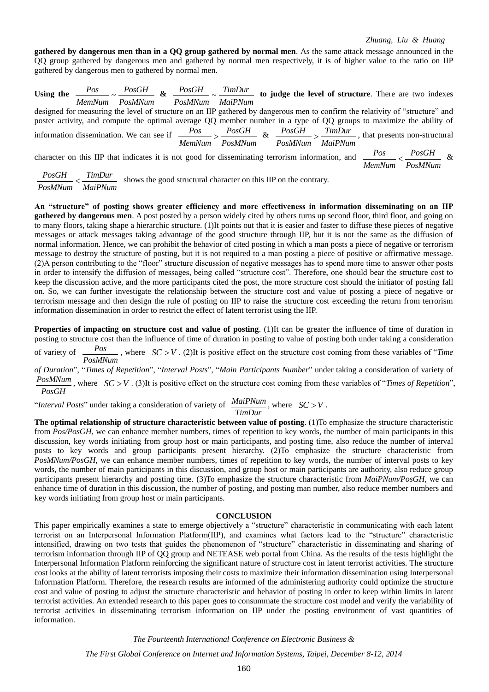**gathered by dangerous men than in a QQ group gathered by normal men**. As the same attack message announced in the QQ group gathered by dangerous men and gathered by normal men respectively, it is of higher value to the ratio on IIP gathered by dangerous men to gathered by normal men.

|  |  | Using the $\frac{Pos}{1}$ $\sim \frac{PosGH}{1}$ & $\frac{PosGH}{1}$ $\sim \frac{TimDur}{1}$ to judge the level of structure. There are two indexes<br>MemNum PosMNum PosMNum MaiPNum |  |                                |               |         |  |
|--|--|---------------------------------------------------------------------------------------------------------------------------------------------------------------------------------------|--|--------------------------------|---------------|---------|--|
|  |  | designed for measuring the level of structure on an IIP gathered by dangerous men to confirm the relativity of "structure" and                                                        |  |                                |               |         |  |
|  |  | poster activity, and compute the optimal average QQ member number in a type of QQ groups to maximize the ability of                                                                   |  |                                |               |         |  |
|  |  | information dissemination. We can see if $\frac{Pos}{\sim} > \frac{PosGH}{\sim}$ & $\frac{PosGH}{\sim} > \frac{TimDur}{\sim}$ , that presents non-structural                          |  | MemNum PosMNum PosMNum MaiPNum |               |         |  |
|  |  | character on this IIP that indicates it is not good for disseminating terrorism information, and $\frac{Pos}{\sqrt{PosGH}}$ &                                                         |  |                                | <b>MemNum</b> | PosMNum |  |

 $\frac{PosGH}{\leq} \leq \frac{TimDur}{S}$  shows the good structural character on this IIP on the contrary.  $\frac{POSOII}{PosMNum} < \frac{POMDMI}{MainPNum}$ 

**An "structure" of posting shows greater efficiency and more effectiveness in information disseminating on an IIP gathered by dangerous men**. A post posted by a person widely cited by others turns up second floor, third floor, and going on to many floors, taking shape a hierarchic structure. (1)It points out that it is easier and faster to diffuse these pieces of negative messages or attack messages taking advantage of the good structure through IIP, but it is not the same as the diffusion of normal information. Hence, we can prohibit the behavior of cited posting in which a man posts a piece of negative or terrorism message to destroy the structure of posting, but it is not required to a man posting a piece of positive or affirmative message. (2)A person contributing to the "floor" structure discussion of negative messages has to spend more time to answer other posts in order to intensify the diffusion of messages, being called "structure cost". Therefore, one should bear the structure cost to keep the discussion active, and the more participants cited the post, the more structure cost should the initiator of posting fall on. So, we can further investigate the relationship between the structure cost and value of posting a piece of negative or terrorism message and then design the rule of posting on IIP to raise the structure cost exceeding the return from terrorism information dissemination in order to restrict the effect of latent terrorist using the IIP.

**Properties of impacting on structure cost and value of posting.** (1)It can be greater the influence of time of duration in posting to structure cost than the influence of time of duration in posting to value of posting both under taking a consideration

of variety of  $\frac{Pos}{PosMNum}$ , where  $SC > V$ . (2)It is positive effect on the structure cost coming from these variables of "*Time* 

*of Duration*", "*Times of Repetition*", "*Interval Posts*", "*Main Participants Number*" under taking a consideration of variety of

 $\frac{PosMNum}{PosGH}$ , where  $SC > V$ . (3)It is positive effect on the structure cost coming from these variables of "*Times of Repetition*",  $PosGH$ 

"*Interval Posts*" under taking a consideration of variety of  $\frac{MainNum}{TimDur}$ , where  $SC > V$ .

**The optimal relationship of structure characteristic between value of posting**. (1)To emphasize the structure characteristic from *Pos/PosGH*, we can enhance member numbers, times of repetition to key words, the number of main participants in this discussion, key words initiating from group host or main participants, and posting time, also reduce the number of interval posts to key words and group participants present hierarchy. (2)To emphasize the structure characteristic from *PosMNum/PosGH*, we can enhance member numbers, times of repetition to key words, the number of interval posts to key words, the number of main participants in this discussion, and group host or main participants are authority, also reduce group participants present hierarchy and posting time. (3)To emphasize the structure characteristic from *MaiPNum/PosGH*, we can enhance time of duration in this discussion, the number of posting, and posting man number, also reduce member numbers and key words initiating from group host or main participants.

#### **CONCLUSION**

This paper empirically examines a state to emerge objectively a "structure" characteristic in communicating with each latent terrorist on an Interpersonal Information Platform(IIP), and examines what factors lead to the "structure" characteristic intensified, drawing on two tests that guides the phenomenon of "structure" characteristic in disseminating and sharing of terrorism information through IIP of QQ group and NETEASE web portal from China. As the results of the tests highlight the Interpersonal Information Platform reinforcing the significant nature of structure cost in latent terrorist activities. The structure cost looks at the ability of latent terrorists imposing their costs to maximize their information dissemination using Interpersonal Information Platform. Therefore, the research results are informed of the administering authority could optimize the structure cost and value of posting to adjust the structure characteristic and behavior of posting in order to keep within limits in latent terrorist activities. An extended research to this paper goes to consummate the structure cost model and verify the variability of terrorist activities in disseminating terrorism information on IIP under the posting environment of vast quantities of information.

*The Fourteenth International Conference on Electronic Business &*